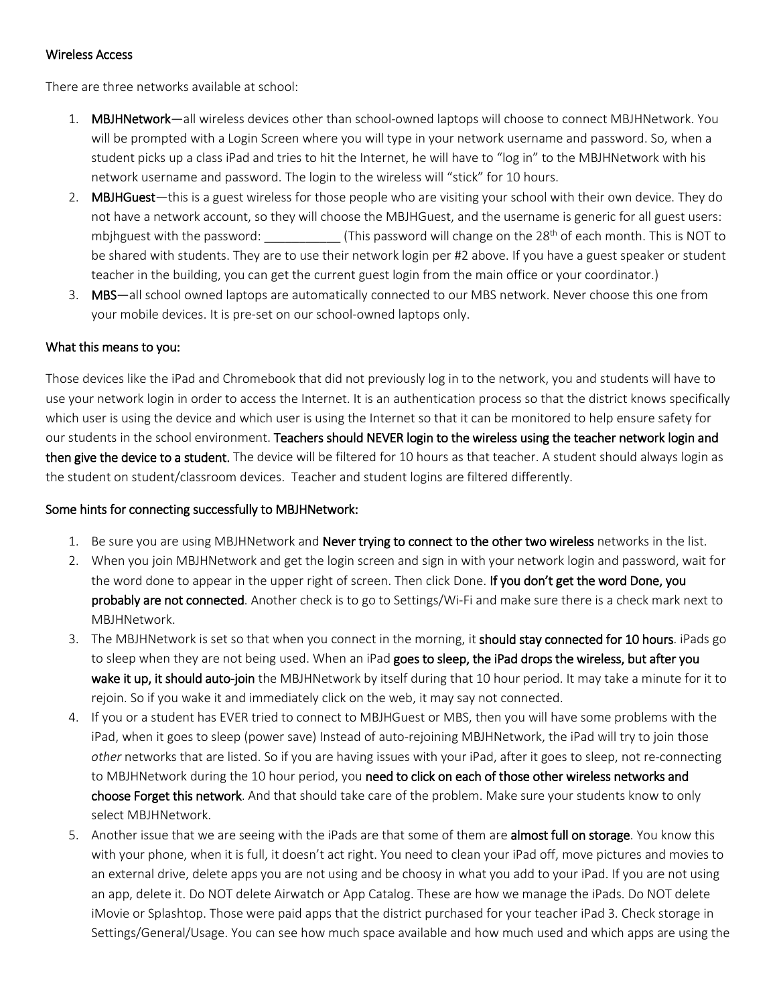## Wireless Access

There are three networks available at school:

- 1. MBJHNetwork—all wireless devices other than school-owned laptops will choose to connect MBJHNetwork. You will be prompted with a Login Screen where you will type in your network username and password. So, when a student picks up a class iPad and tries to hit the Internet, he will have to "log in" to the MBJHNetwork with his network username and password. The login to the wireless will "stick" for 10 hours.
- 2. MBJHGuest—this is a guest wireless for those people who are visiting your school with their own device. They do not have a network account, so they will choose the MBJHGuest, and the username is generic for all guest users: mbjhguest with the password: \_\_\_\_\_\_\_\_\_\_\_ (This password will change on the 28<sup>th</sup> of each month. This is NOT to be shared with students. They are to use their network login per #2 above. If you have a guest speaker or student teacher in the building, you can get the current guest login from the main office or your coordinator.)
- 3. MBS—all school owned laptops are automatically connected to our MBS network. Never choose this one from your mobile devices. It is pre-set on our school-owned laptops only.

## What this means to you:

Those devices like the iPad and Chromebook that did not previously log in to the network, you and students will have to use your network login in order to access the Internet. It is an authentication process so that the district knows specifically which user is using the device and which user is using the Internet so that it can be monitored to help ensure safety for our students in the school environment. Teachers should NEVER login to the wireless using the teacher network login and then give the device to a student. The device will be filtered for 10 hours as that teacher. A student should always login as the student on student/classroom devices. Teacher and student logins are filtered differently.

## Some hints for connecting successfully to MBJHNetwork:

- 1. Be sure you are using MBJHNetwork and **Never trying to connect to the other two wireless** networks in the list.
- 2. When you join MBJHNetwork and get the login screen and sign in with your network login and password, wait for the word done to appear in the upper right of screen. Then click Done. If you don't get the word Done, you probably are not connected. Another check is to go to Settings/Wi-Fi and make sure there is a check mark next to MBJHNetwork.
- 3. The MBJHNetwork is set so that when you connect in the morning, it should stay connected for 10 hours. iPads go to sleep when they are not being used. When an iPad goes to sleep, the iPad drops the wireless, but after you wake it up, it should auto-join the MBJHNetwork by itself during that 10 hour period. It may take a minute for it to rejoin. So if you wake it and immediately click on the web, it may say not connected.
- 4. If you or a student has EVER tried to connect to MBJHGuest or MBS, then you will have some problems with the iPad, when it goes to sleep (power save) Instead of auto-rejoining MBJHNetwork, the iPad will try to join those *other* networks that are listed. So if you are having issues with your iPad, after it goes to sleep, not re-connecting to MBJHNetwork during the 10 hour period, you need to click on each of those other wireless networks and choose Forget this network. And that should take care of the problem. Make sure your students know to only select MBJHNetwork.
- 5. Another issue that we are seeing with the iPads are that some of them are **almost full on storage**. You know this with your phone, when it is full, it doesn't act right. You need to clean your iPad off, move pictures and movies to an external drive, delete apps you are not using and be choosy in what you add to your iPad. If you are not using an app, delete it. Do NOT delete Airwatch or App Catalog. These are how we manage the iPads. Do NOT delete iMovie or Splashtop. Those were paid apps that the district purchased for your teacher iPad 3. Check storage in Settings/General/Usage. You can see how much space available and how much used and which apps are using the